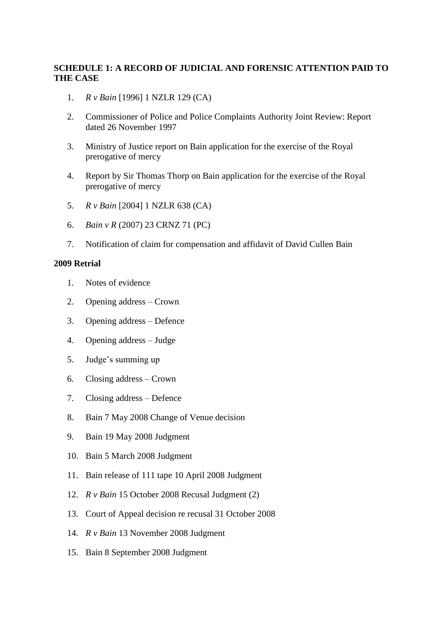# **SCHEDULE 1: A RECORD OF JUDICIAL AND FORENSIC ATTENTION PAID TO THE CASE**

- 1. *R v Bain* [1996] 1 NZLR 129 (CA)
- 2. Commissioner of Police and Police Complaints Authority Joint Review: Report dated 26 November 1997
- 3. Ministry of Justice report on Bain application for the exercise of the Royal prerogative of mercy
- 4. Report by Sir Thomas Thorp on Bain application for the exercise of the Royal prerogative of mercy
- 5. *R v Bain* [2004] 1 NZLR 638 (CA)
- 6. *Bain v R* (2007) 23 CRNZ 71 (PC)
- 7. Notification of claim for compensation and affidavit of David Cullen Bain

#### **2009 Retrial**

- 1. Notes of evidence
- 2. Opening address Crown
- 3. Opening address Defence
- 4. Opening address Judge
- 5. Judge's summing up
- 6. Closing address Crown
- 7. Closing address Defence
- 8. Bain 7 May 2008 Change of Venue decision
- 9. Bain 19 May 2008 Judgment
- 10. Bain 5 March 2008 Judgment
- 11. Bain release of 111 tape 10 April 2008 Judgment
- 12. *R v Bain* 15 October 2008 Recusal Judgment (2)
- 13. Court of Appeal decision re recusal 31 October 2008
- 14. *R v Bain* 13 November 2008 Judgment
- 15. Bain 8 September 2008 Judgment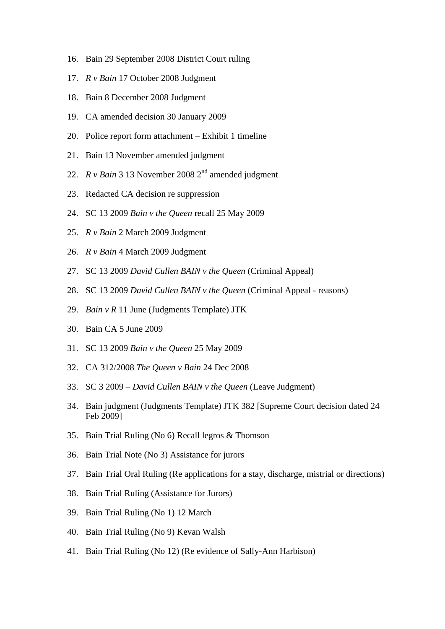- 16. Bain 29 September 2008 District Court ruling
- 17. *R v Bain* 17 October 2008 Judgment
- 18. Bain 8 December 2008 Judgment
- 19. CA amended decision 30 January 2009
- 20. Police report form attachment Exhibit 1 timeline
- 21. Bain 13 November amended judgment
- 22. *R v Bain* 3 13 November 2008 2nd amended judgment
- 23. Redacted CA decision re suppression
- 24. SC 13 2009 *Bain v the Queen* recall 25 May 2009
- 25. *R v Bain* 2 March 2009 Judgment
- 26. *R v Bain* 4 March 2009 Judgment
- 27. SC 13 2009 *David Cullen BAIN v the Queen* (Criminal Appeal)
- 28. SC 13 2009 *David Cullen BAIN v the Queen* (Criminal Appeal reasons)
- 29. *Bain v R* 11 June (Judgments Template) JTK
- 30. Bain CA 5 June 2009
- 31. SC 13 2009 *Bain v the Queen* 25 May 2009
- 32. CA 312/2008 *The Queen v Bain* 24 Dec 2008
- 33. SC 3 2009 *David Cullen BAIN v the Queen* (Leave Judgment)
- 34. Bain judgment (Judgments Template) JTK 382 [Supreme Court decision dated 24 Feb 2009]
- 35. Bain Trial Ruling (No 6) Recall legros & Thomson
- 36. Bain Trial Note (No 3) Assistance for jurors
- 37. Bain Trial Oral Ruling (Re applications for a stay, discharge, mistrial or directions)
- 38. Bain Trial Ruling (Assistance for Jurors)
- 39. Bain Trial Ruling (No 1) 12 March
- 40. Bain Trial Ruling (No 9) Kevan Walsh
- 41. Bain Trial Ruling (No 12) (Re evidence of Sally-Ann Harbison)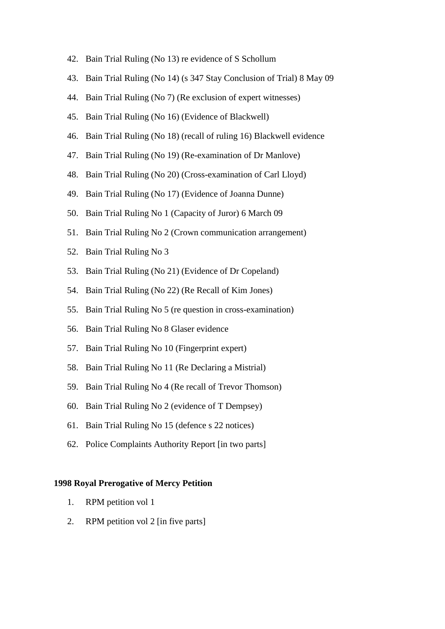- 42. Bain Trial Ruling (No 13) re evidence of S Schollum
- 43. Bain Trial Ruling (No 14) (s 347 Stay Conclusion of Trial) 8 May 09
- 44. Bain Trial Ruling (No 7) (Re exclusion of expert witnesses)
- 45. Bain Trial Ruling (No 16) (Evidence of Blackwell)
- 46. Bain Trial Ruling (No 18) (recall of ruling 16) Blackwell evidence
- 47. Bain Trial Ruling (No 19) (Re-examination of Dr Manlove)
- 48. Bain Trial Ruling (No 20) (Cross-examination of Carl Lloyd)
- 49. Bain Trial Ruling (No 17) (Evidence of Joanna Dunne)
- 50. Bain Trial Ruling No 1 (Capacity of Juror) 6 March 09
- 51. Bain Trial Ruling No 2 (Crown communication arrangement)
- 52. Bain Trial Ruling No 3
- 53. Bain Trial Ruling (No 21) (Evidence of Dr Copeland)
- 54. Bain Trial Ruling (No 22) (Re Recall of Kim Jones)
- 55. Bain Trial Ruling No 5 (re question in cross-examination)
- 56. Bain Trial Ruling No 8 Glaser evidence
- 57. Bain Trial Ruling No 10 (Fingerprint expert)
- 58. Bain Trial Ruling No 11 (Re Declaring a Mistrial)
- 59. Bain Trial Ruling No 4 (Re recall of Trevor Thomson)
- 60. Bain Trial Ruling No 2 (evidence of T Dempsey)
- 61. Bain Trial Ruling No 15 (defence s 22 notices)
- 62. Police Complaints Authority Report [in two parts]

#### **1998 Royal Prerogative of Mercy Petition**

- 1. RPM petition vol 1
- 2. RPM petition vol 2 [in five parts]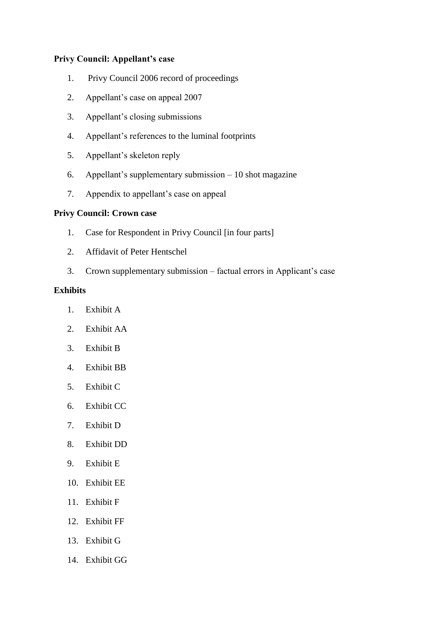## **Privy Council: Appellant's case**

- 1. Privy Council 2006 record of proceedings
- 2. Appellant's case on appeal 2007
- 3. Appellant's closing submissions
- 4. Appellant's references to the luminal footprints
- 5. Appellant's skeleton reply
- 6. Appellant's supplementary submission 10 shot magazine
- 7. Appendix to appellant's case on appeal

### **Privy Council: Crown case**

- 1. Case for Respondent in Privy Council [in four parts]
- 2. Affidavit of Peter Hentschel
- 3. Crown supplementary submission factual errors in Applicant's case

# **Exhibits**

- 1. Exhibit A
- 2. Exhibit AA
- 3. Exhibit B
- 4. Exhibit BB
- 5. Exhibit C
- 6. Exhibit CC
- 7. Exhibit D
- 8. Exhibit DD
- 9. Exhibit E
- 10. Exhibit EE
- 11. Exhibit F
- 12. Exhibit FF
- 13. Exhibit G
- 14. Exhibit GG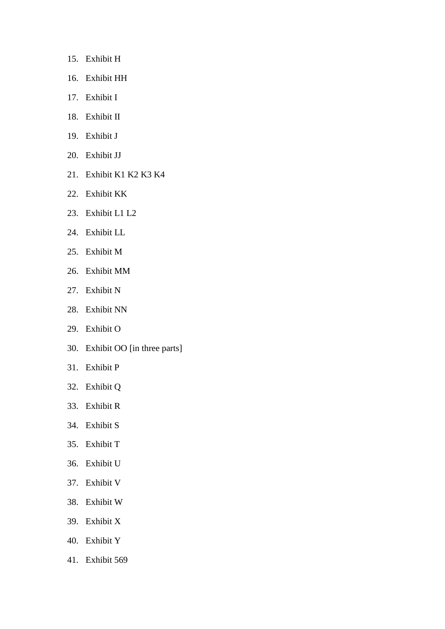- 15. Exhibit H
- 16. Exhibit HH
- 17. Exhibit I
- 18. Exhibit II
- 19. Exhibit J
- 20. Exhibit JJ
- 21. Exhibit K1 K2 K3 K4
- 22. Exhibit KK
- 23. Exhibit L1 L2
- 24. Exhibit LL
- 25. Exhibit M
- 26. Exhibit MM
- 27. Exhibit N
- 28. Exhibit NN
- 29. Exhibit O
- 30. Exhibit OO [in three parts]
- 31. Exhibit P
- 32. Exhibit Q
- 33. Exhibit R
- 34. Exhibit S
- 35. Exhibit T
- 36. Exhibit U
- 37. Exhibit V
- 38. Exhibit W
- 39. Exhibit X
- 40. Exhibit Y
- 41. Exhibit 569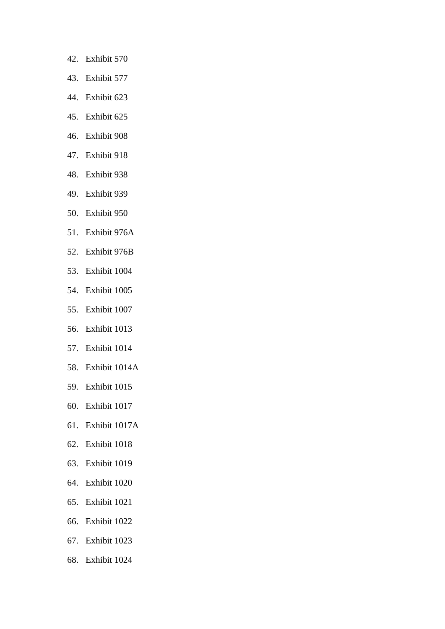- 42. Exhibit 570
- 43. Exhibit 577
- 44. Exhibit 623
- 45. Exhibit 625
- 46. Exhibit 908
- 47. Exhibit 918
- 48. Exhibit 938
- 49. Exhibit 939
- 50. Exhibit 950
- 51. Exhibit 976A
- 52. Exhibit 976B
- 53. Exhibit 1004
- 54. Exhibit 1005
- 55. Exhibit 1007
- 56. Exhibit 1013
- 57. Exhibit 1014
- 58. Exhibit 1014A
- 59. Exhibit 1015
- 60. Exhibit 1017
- 61. Exhibit 1017A
- 62. Exhibit 1018
- 63. Exhibit 1019
- 64. Exhibit 1020
- 65. Exhibit 1021
- 66. Exhibit 1022
- 67. Exhibit 1023
- 68. Exhibit 1024